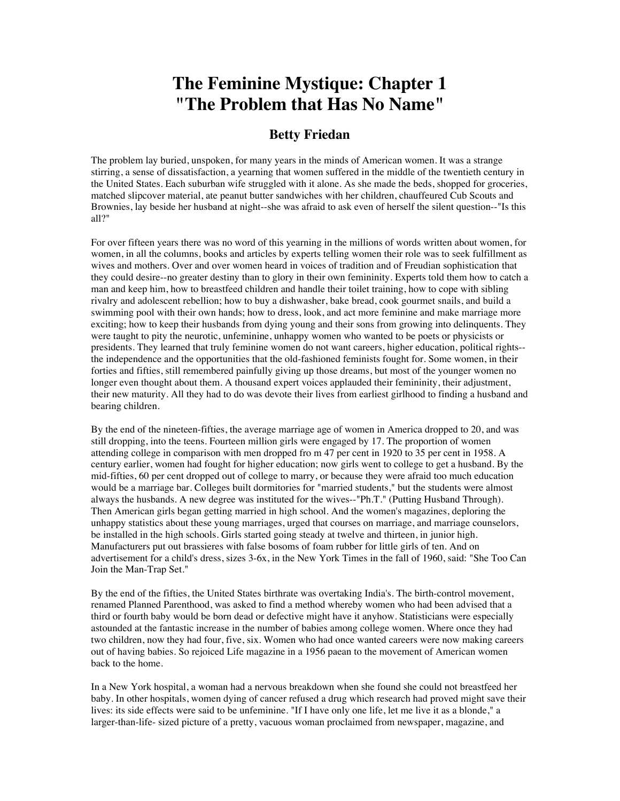## **The Feminine Mystique: Chapter 1 "The Problem that Has No Name"**

## **Betty Friedan**

The problem lay buried, unspoken, for many years in the minds of American women. It was a strange stirring, a sense of dissatisfaction, a yearning that women suffered in the middle of the twentieth century in the United States. Each suburban wife struggled with it alone. As she made the beds, shopped for groceries, matched slipcover material, ate peanut butter sandwiches with her children, chauffeured Cub Scouts and Brownies, lay beside her husband at night--she was afraid to ask even of herself the silent question--"Is this all?"

For over fifteen years there was no word of this yearning in the millions of words written about women, for women, in all the columns, books and articles by experts telling women their role was to seek fulfillment as wives and mothers. Over and over women heard in voices of tradition and of Freudian sophistication that they could desire--no greater destiny than to glory in their own femininity. Experts told them how to catch a man and keep him, how to breastfeed children and handle their toilet training, how to cope with sibling rivalry and adolescent rebellion; how to buy a dishwasher, bake bread, cook gourmet snails, and build a swimming pool with their own hands; how to dress, look, and act more feminine and make marriage more exciting; how to keep their husbands from dying young and their sons from growing into delinquents. They were taught to pity the neurotic, unfeminine, unhappy women who wanted to be poets or physicists or presidents. They learned that truly feminine women do not want careers, higher education, political rights- the independence and the opportunities that the old-fashioned feminists fought for. Some women, in their forties and fifties, still remembered painfully giving up those dreams, but most of the younger women no longer even thought about them. A thousand expert voices applauded their femininity, their adjustment, their new maturity. All they had to do was devote their lives from earliest girlhood to finding a husband and bearing children.

By the end of the nineteen-fifties, the average marriage age of women in America dropped to 20, and was still dropping, into the teens. Fourteen million girls were engaged by 17. The proportion of women attending college in comparison with men dropped fro m 47 per cent in 1920 to 35 per cent in 1958. A century earlier, women had fought for higher education; now girls went to college to get a husband. By the mid-fifties, 60 per cent dropped out of college to marry, or because they were afraid too much education would be a marriage bar. Colleges built dormitories for "married students," but the students were almost always the husbands. A new degree was instituted for the wives--"Ph.T." (Putting Husband Through). Then American girls began getting married in high school. And the women's magazines, deploring the unhappy statistics about these young marriages, urged that courses on marriage, and marriage counselors, be installed in the high schools. Girls started going steady at twelve and thirteen, in junior high. Manufacturers put out brassieres with false bosoms of foam rubber for little girls of ten. And on advertisement for a child's dress, sizes 3-6x, in the New York Times in the fall of 1960, said: "She Too Can Join the Man-Trap Set."

By the end of the fifties, the United States birthrate was overtaking India's. The birth-control movement, renamed Planned Parenthood, was asked to find a method whereby women who had been advised that a third or fourth baby would be born dead or defective might have it anyhow. Statisticians were especially astounded at the fantastic increase in the number of babies among college women. Where once they had two children, now they had four, five, six. Women who had once wanted careers were now making careers out of having babies. So rejoiced Life magazine in a 1956 paean to the movement of American women back to the home.

In a New York hospital, a woman had a nervous breakdown when she found she could not breastfeed her baby. In other hospitals, women dying of cancer refused a drug which research had proved might save their lives: its side effects were said to be unfeminine. "If I have only one life, let me live it as a blonde," a larger-than-life- sized picture of a pretty, vacuous woman proclaimed from newspaper, magazine, and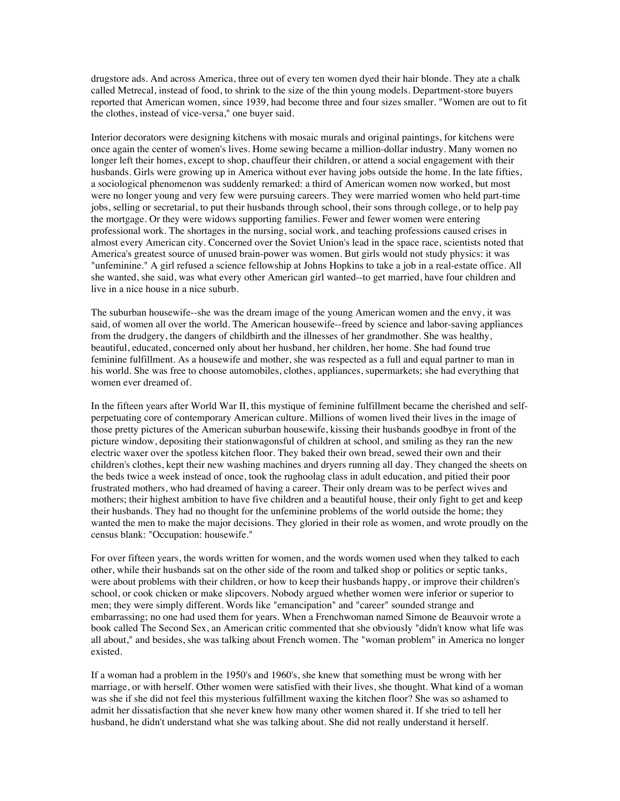drugstore ads. And across America, three out of every ten women dyed their hair blonde. They ate a chalk called Metrecal, instead of food, to shrink to the size of the thin young models. Department-store buyers reported that American women, since 1939, had become three and four sizes smaller. "Women are out to fit the clothes, instead of vice-versa," one buyer said.

Interior decorators were designing kitchens with mosaic murals and original paintings, for kitchens were once again the center of women's lives. Home sewing became a million-dollar industry. Many women no longer left their homes, except to shop, chauffeur their children, or attend a social engagement with their husbands. Girls were growing up in America without ever having jobs outside the home. In the late fifties, a sociological phenomenon was suddenly remarked: a third of American women now worked, but most were no longer young and very few were pursuing careers. They were married women who held part-time jobs, selling or secretarial, to put their husbands through school, their sons through college, or to help pay the mortgage. Or they were widows supporting families. Fewer and fewer women were entering professional work. The shortages in the nursing, social work, and teaching professions caused crises in almost every American city. Concerned over the Soviet Union's lead in the space race, scientists noted that America's greatest source of unused brain-power was women. But girls would not study physics: it was "unfeminine." A girl refused a science fellowship at Johns Hopkins to take a job in a real-estate office. All she wanted, she said, was what every other American girl wanted--to get married, have four children and live in a nice house in a nice suburb.

The suburban housewife--she was the dream image of the young American women and the envy, it was said, of women all over the world. The American housewife--freed by science and labor-saving appliances from the drudgery, the dangers of childbirth and the illnesses of her grandmother. She was healthy, beautiful, educated, concerned only about her husband, her children, her home. She had found true feminine fulfillment. As a housewife and mother, she was respected as a full and equal partner to man in his world. She was free to choose automobiles, clothes, appliances, supermarkets; she had everything that women ever dreamed of.

In the fifteen years after World War II, this mystique of feminine fulfillment became the cherished and selfperpetuating core of contemporary American culture. Millions of women lived their lives in the image of those pretty pictures of the American suburban housewife, kissing their husbands goodbye in front of the picture window, depositing their stationwagonsful of children at school, and smiling as they ran the new electric waxer over the spotless kitchen floor. They baked their own bread, sewed their own and their children's clothes, kept their new washing machines and dryers running all day. They changed the sheets on the beds twice a week instead of once, took the rughoolag class in adult education, and pitied their poor frustrated mothers, who had dreamed of having a career. Their only dream was to be perfect wives and mothers; their highest ambition to have five children and a beautiful house, their only fight to get and keep their husbands. They had no thought for the unfeminine problems of the world outside the home; they wanted the men to make the major decisions. They gloried in their role as women, and wrote proudly on the census blank: "Occupation: housewife."

For over fifteen years, the words written for women, and the words women used when they talked to each other, while their husbands sat on the other side of the room and talked shop or politics or septic tanks, were about problems with their children, or how to keep their husbands happy, or improve their children's school, or cook chicken or make slipcovers. Nobody argued whether women were inferior or superior to men; they were simply different. Words like "emancipation" and "career" sounded strange and embarrassing; no one had used them for years. When a Frenchwoman named Simone de Beauvoir wrote a book called The Second Sex, an American critic commented that she obviously "didn't know what life was all about," and besides, she was talking about French women. The "woman problem" in America no longer existed.

If a woman had a problem in the 1950's and 1960's, she knew that something must be wrong with her marriage, or with herself. Other women were satisfied with their lives, she thought. What kind of a woman was she if she did not feel this mysterious fulfillment waxing the kitchen floor? She was so ashamed to admit her dissatisfaction that she never knew how many other women shared it. If she tried to tell her husband, he didn't understand what she was talking about. She did not really understand it herself.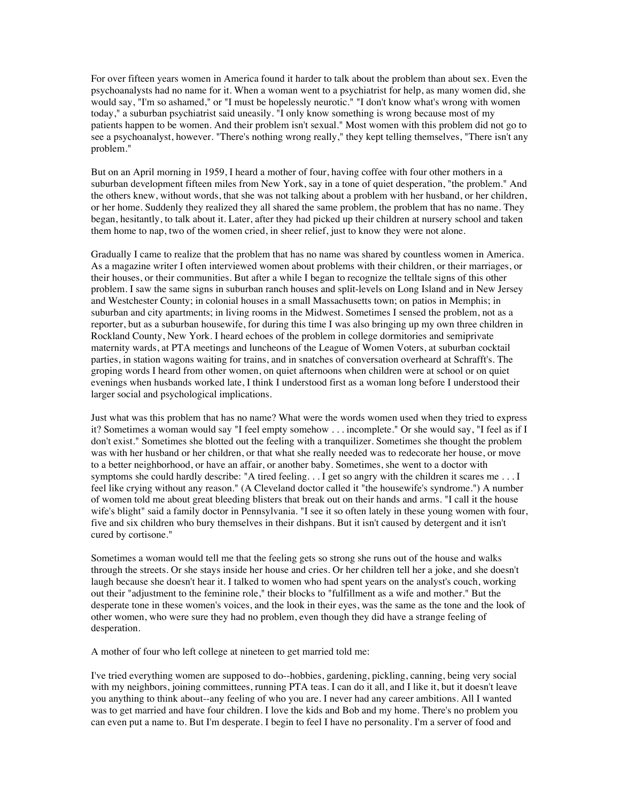For over fifteen years women in America found it harder to talk about the problem than about sex. Even the psychoanalysts had no name for it. When a woman went to a psychiatrist for help, as many women did, she would say, "I'm so ashamed," or "I must be hopelessly neurotic." "I don't know what's wrong with women today," a suburban psychiatrist said uneasily. "I only know something is wrong because most of my patients happen to be women. And their problem isn't sexual." Most women with this problem did not go to see a psychoanalyst, however. "There's nothing wrong really," they kept telling themselves, "There isn't any problem."

But on an April morning in 1959, I heard a mother of four, having coffee with four other mothers in a suburban development fifteen miles from New York, say in a tone of quiet desperation, "the problem." And the others knew, without words, that she was not talking about a problem with her husband, or her children, or her home. Suddenly they realized they all shared the same problem, the problem that has no name. They began, hesitantly, to talk about it. Later, after they had picked up their children at nursery school and taken them home to nap, two of the women cried, in sheer relief, just to know they were not alone.

Gradually I came to realize that the problem that has no name was shared by countless women in America. As a magazine writer I often interviewed women about problems with their children, or their marriages, or their houses, or their communities. But after a while I began to recognize the telltale signs of this other problem. I saw the same signs in suburban ranch houses and split-levels on Long Island and in New Jersey and Westchester County; in colonial houses in a small Massachusetts town; on patios in Memphis; in suburban and city apartments; in living rooms in the Midwest. Sometimes I sensed the problem, not as a reporter, but as a suburban housewife, for during this time I was also bringing up my own three children in Rockland County, New York. I heard echoes of the problem in college dormitories and semiprivate maternity wards, at PTA meetings and luncheons of the League of Women Voters, at suburban cocktail parties, in station wagons waiting for trains, and in snatches of conversation overheard at Schrafft's. The groping words I heard from other women, on quiet afternoons when children were at school or on quiet evenings when husbands worked late, I think I understood first as a woman long before I understood their larger social and psychological implications.

Just what was this problem that has no name? What were the words women used when they tried to express it? Sometimes a woman would say "I feel empty somehow . . . incomplete." Or she would say, "I feel as if I don't exist." Sometimes she blotted out the feeling with a tranquilizer. Sometimes she thought the problem was with her husband or her children, or that what she really needed was to redecorate her house, or move to a better neighborhood, or have an affair, or another baby. Sometimes, she went to a doctor with symptoms she could hardly describe: "A tired feeling. . . I get so angry with the children it scares me . . . I feel like crying without any reason." (A Cleveland doctor called it "the housewife's syndrome.") A number of women told me about great bleeding blisters that break out on their hands and arms. "I call it the house wife's blight" said a family doctor in Pennsylvania. "I see it so often lately in these young women with four, five and six children who bury themselves in their dishpans. But it isn't caused by detergent and it isn't cured by cortisone."

Sometimes a woman would tell me that the feeling gets so strong she runs out of the house and walks through the streets. Or she stays inside her house and cries. Or her children tell her a joke, and she doesn't laugh because she doesn't hear it. I talked to women who had spent years on the analyst's couch, working out their "adjustment to the feminine role," their blocks to "fulfillment as a wife and mother." But the desperate tone in these women's voices, and the look in their eyes, was the same as the tone and the look of other women, who were sure they had no problem, even though they did have a strange feeling of desperation.

A mother of four who left college at nineteen to get married told me:

I've tried everything women are supposed to do--hobbies, gardening, pickling, canning, being very social with my neighbors, joining committees, running PTA teas. I can do it all, and I like it, but it doesn't leave you anything to think about--any feeling of who you are. I never had any career ambitions. All I wanted was to get married and have four children. I love the kids and Bob and my home. There's no problem you can even put a name to. But I'm desperate. I begin to feel I have no personality. I'm a server of food and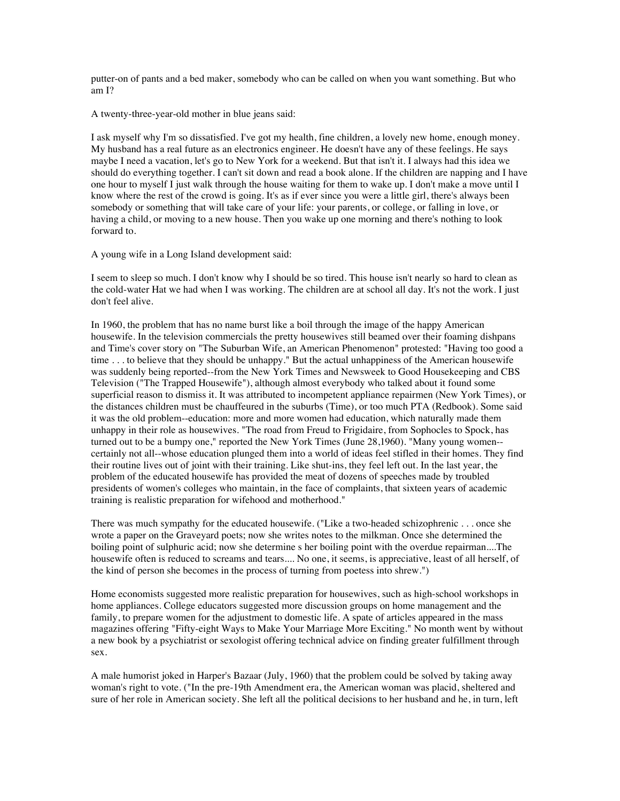putter-on of pants and a bed maker, somebody who can be called on when you want something. But who am I?

A twenty-three-year-old mother in blue jeans said:

I ask myself why I'm so dissatisfied. I've got my health, fine children, a lovely new home, enough money. My husband has a real future as an electronics engineer. He doesn't have any of these feelings. He says maybe I need a vacation, let's go to New York for a weekend. But that isn't it. I always had this idea we should do everything together. I can't sit down and read a book alone. If the children are napping and I have one hour to myself I just walk through the house waiting for them to wake up. I don't make a move until I know where the rest of the crowd is going. It's as if ever since you were a little girl, there's always been somebody or something that will take care of your life: your parents, or college, or falling in love, or having a child, or moving to a new house. Then you wake up one morning and there's nothing to look forward to.

A young wife in a Long Island development said:

I seem to sleep so much. I don't know why I should be so tired. This house isn't nearly so hard to clean as the cold-water Hat we had when I was working. The children are at school all day. It's not the work. I just don't feel alive.

In 1960, the problem that has no name burst like a boil through the image of the happy American housewife. In the television commercials the pretty housewives still beamed over their foaming dishpans and Time's cover story on "The Suburban Wife, an American Phenomenon" protested: "Having too good a time . . . to believe that they should be unhappy." But the actual unhappiness of the American housewife was suddenly being reported--from the New York Times and Newsweek to Good Housekeeping and CBS Television ("The Trapped Housewife"), although almost everybody who talked about it found some superficial reason to dismiss it. It was attributed to incompetent appliance repairmen (New York Times), or the distances children must be chauffeured in the suburbs (Time), or too much PTA (Redbook). Some said it was the old problem--education: more and more women had education, which naturally made them unhappy in their role as housewives. "The road from Freud to Frigidaire, from Sophocles to Spock, has turned out to be a bumpy one," reported the New York Times (June 28,1960). "Many young women- certainly not all--whose education plunged them into a world of ideas feel stifled in their homes. They find their routine lives out of joint with their training. Like shut-ins, they feel left out. In the last year, the problem of the educated housewife has provided the meat of dozens of speeches made by troubled presidents of women's colleges who maintain, in the face of complaints, that sixteen years of academic training is realistic preparation for wifehood and motherhood."

There was much sympathy for the educated housewife. ("Like a two-headed schizophrenic . . . once she wrote a paper on the Graveyard poets; now she writes notes to the milkman. Once she determined the boiling point of sulphuric acid; now she determine s her boiling point with the overdue repairman....The housewife often is reduced to screams and tears.... No one, it seems, is appreciative, least of all herself, of the kind of person she becomes in the process of turning from poetess into shrew.")

Home economists suggested more realistic preparation for housewives, such as high-school workshops in home appliances. College educators suggested more discussion groups on home management and the family, to prepare women for the adjustment to domestic life. A spate of articles appeared in the mass magazines offering "Fifty-eight Ways to Make Your Marriage More Exciting." No month went by without a new book by a psychiatrist or sexologist offering technical advice on finding greater fulfillment through sex.

A male humorist joked in Harper's Bazaar (July, 1960) that the problem could be solved by taking away woman's right to vote. ("In the pre-19th Amendment era, the American woman was placid, sheltered and sure of her role in American society. She left all the political decisions to her husband and he, in turn, left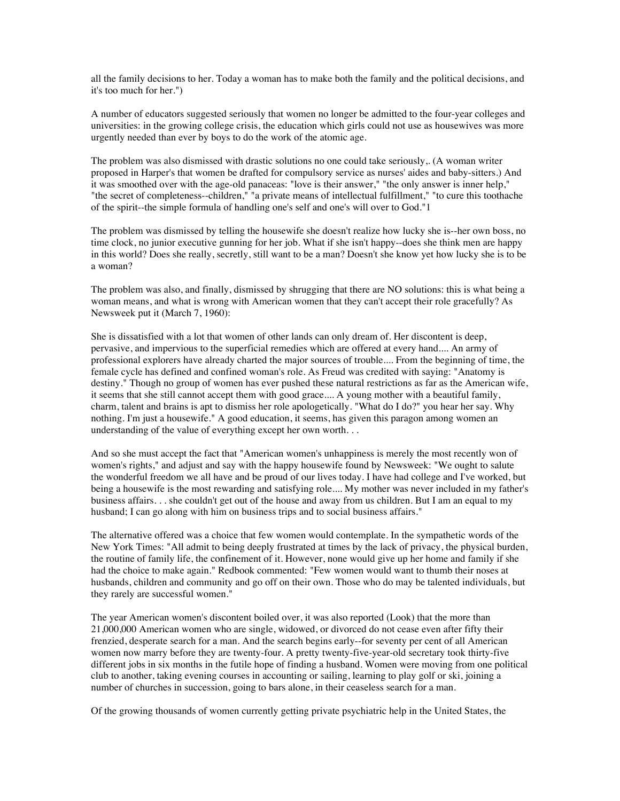all the family decisions to her. Today a woman has to make both the family and the political decisions, and it's too much for her.")

A number of educators suggested seriously that women no longer be admitted to the four-year colleges and universities: in the growing college crisis, the education which girls could not use as housewives was more urgently needed than ever by boys to do the work of the atomic age.

The problem was also dismissed with drastic solutions no one could take seriously,. (A woman writer proposed in Harper's that women be drafted for compulsory service as nurses' aides and baby-sitters.) And it was smoothed over with the age-old panaceas: "love is their answer," "the only answer is inner help," "the secret of completeness--children," "a private means of intellectual fulfillment," "to cure this toothache of the spirit--the simple formula of handling one's self and one's will over to God."1

The problem was dismissed by telling the housewife she doesn't realize how lucky she is--her own boss, no time clock, no junior executive gunning for her job. What if she isn't happy--does she think men are happy in this world? Does she really, secretly, still want to be a man? Doesn't she know yet how lucky she is to be a woman?

The problem was also, and finally, dismissed by shrugging that there are NO solutions: this is what being a woman means, and what is wrong with American women that they can't accept their role gracefully? As Newsweek put it (March 7, 1960):

She is dissatisfied with a lot that women of other lands can only dream of. Her discontent is deep, pervasive, and impervious to the superficial remedies which are offered at every hand.... An army of professional explorers have already charted the major sources of trouble.... From the beginning of time, the female cycle has defined and confined woman's role. As Freud was credited with saying: "Anatomy is destiny." Though no group of women has ever pushed these natural restrictions as far as the American wife, it seems that she still cannot accept them with good grace.... A young mother with a beautiful family, charm, talent and brains is apt to dismiss her role apologetically. "What do I do?" you hear her say. Why nothing. I'm just a housewife." A good education, it seems, has given this paragon among women an understanding of the value of everything except her own worth. . .

And so she must accept the fact that "American women's unhappiness is merely the most recently won of women's rights," and adjust and say with the happy housewife found by Newsweek: "We ought to salute the wonderful freedom we all have and be proud of our lives today. I have had college and I've worked, but being a housewife is the most rewarding and satisfying role.... My mother was never included in my father's business affairs. . . she couldn't get out of the house and away from us children. But I am an equal to my husband; I can go along with him on business trips and to social business affairs."

The alternative offered was a choice that few women would contemplate. In the sympathetic words of the New York Times: "All admit to being deeply frustrated at times by the lack of privacy, the physical burden, the routine of family life, the confinement of it. However, none would give up her home and family if she had the choice to make again." Redbook commented: "Few women would want to thumb their noses at husbands, children and community and go off on their own. Those who do may be talented individuals, but they rarely are successful women."

The year American women's discontent boiled over, it was also reported (Look) that the more than 21,000,000 American women who are single, widowed, or divorced do not cease even after fifty their frenzied, desperate search for a man. And the search begins early--for seventy per cent of all American women now marry before they are twenty-four. A pretty twenty-five-year-old secretary took thirty-five different jobs in six months in the futile hope of finding a husband. Women were moving from one political club to another, taking evening courses in accounting or sailing, learning to play golf or ski, joining a number of churches in succession, going to bars alone, in their ceaseless search for a man.

Of the growing thousands of women currently getting private psychiatric help in the United States, the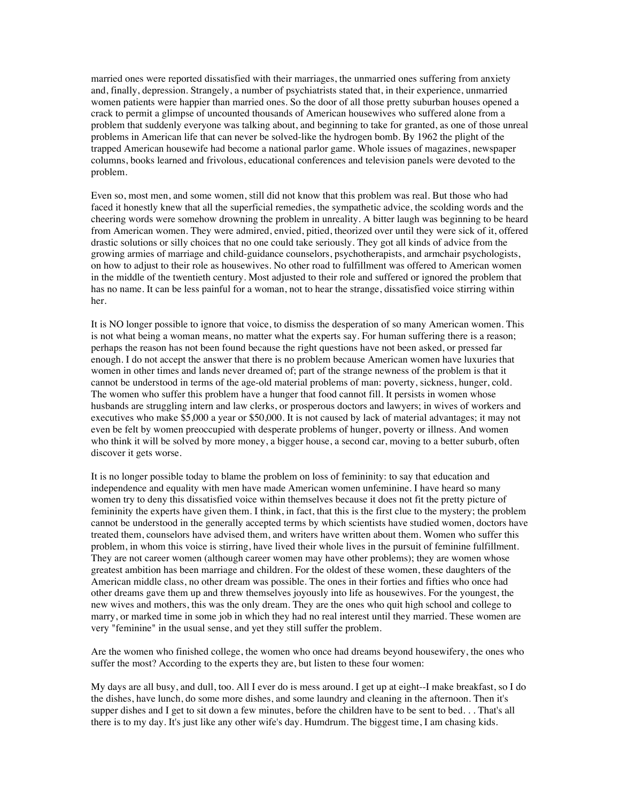married ones were reported dissatisfied with their marriages, the unmarried ones suffering from anxiety and, finally, depression. Strangely, a number of psychiatrists stated that, in their experience, unmarried women patients were happier than married ones. So the door of all those pretty suburban houses opened a crack to permit a glimpse of uncounted thousands of American housewives who suffered alone from a problem that suddenly everyone was talking about, and beginning to take for granted, as one of those unreal problems in American life that can never be solved-like the hydrogen bomb. By 1962 the plight of the trapped American housewife had become a national parlor game. Whole issues of magazines, newspaper columns, books learned and frivolous, educational conferences and television panels were devoted to the problem.

Even so, most men, and some women, still did not know that this problem was real. But those who had faced it honestly knew that all the superficial remedies, the sympathetic advice, the scolding words and the cheering words were somehow drowning the problem in unreality. A bitter laugh was beginning to be heard from American women. They were admired, envied, pitied, theorized over until they were sick of it, offered drastic solutions or silly choices that no one could take seriously. They got all kinds of advice from the growing armies of marriage and child-guidance counselors, psychotherapists, and armchair psychologists, on how to adjust to their role as housewives. No other road to fulfillment was offered to American women in the middle of the twentieth century. Most adjusted to their role and suffered or ignored the problem that has no name. It can be less painful for a woman, not to hear the strange, dissatisfied voice stirring within her.

It is NO longer possible to ignore that voice, to dismiss the desperation of so many American women. This is not what being a woman means, no matter what the experts say. For human suffering there is a reason; perhaps the reason has not been found because the right questions have not been asked, or pressed far enough. I do not accept the answer that there is no problem because American women have luxuries that women in other times and lands never dreamed of; part of the strange newness of the problem is that it cannot be understood in terms of the age-old material problems of man: poverty, sickness, hunger, cold. The women who suffer this problem have a hunger that food cannot fill. It persists in women whose husbands are struggling intern and law clerks, or prosperous doctors and lawyers; in wives of workers and executives who make \$5,000 a year or \$50,000. It is not caused by lack of material advantages; it may not even be felt by women preoccupied with desperate problems of hunger, poverty or illness. And women who think it will be solved by more money, a bigger house, a second car, moving to a better suburb, often discover it gets worse.

It is no longer possible today to blame the problem on loss of femininity: to say that education and independence and equality with men have made American women unfeminine. I have heard so many women try to deny this dissatisfied voice within themselves because it does not fit the pretty picture of femininity the experts have given them. I think, in fact, that this is the first clue to the mystery; the problem cannot be understood in the generally accepted terms by which scientists have studied women, doctors have treated them, counselors have advised them, and writers have written about them. Women who suffer this problem, in whom this voice is stirring, have lived their whole lives in the pursuit of feminine fulfillment. They are not career women (although career women may have other problems); they are women whose greatest ambition has been marriage and children. For the oldest of these women, these daughters of the American middle class, no other dream was possible. The ones in their forties and fifties who once had other dreams gave them up and threw themselves joyously into life as housewives. For the youngest, the new wives and mothers, this was the only dream. They are the ones who quit high school and college to marry, or marked time in some job in which they had no real interest until they married. These women are very "feminine" in the usual sense, and yet they still suffer the problem.

Are the women who finished college, the women who once had dreams beyond housewifery, the ones who suffer the most? According to the experts they are, but listen to these four women:

My days are all busy, and dull, too. All I ever do is mess around. I get up at eight--I make breakfast, so I do the dishes, have lunch, do some more dishes, and some laundry and cleaning in the afternoon. Then it's supper dishes and I get to sit down a few minutes, before the children have to be sent to bed. . . That's all there is to my day. It's just like any other wife's day. Humdrum. The biggest time, I am chasing kids.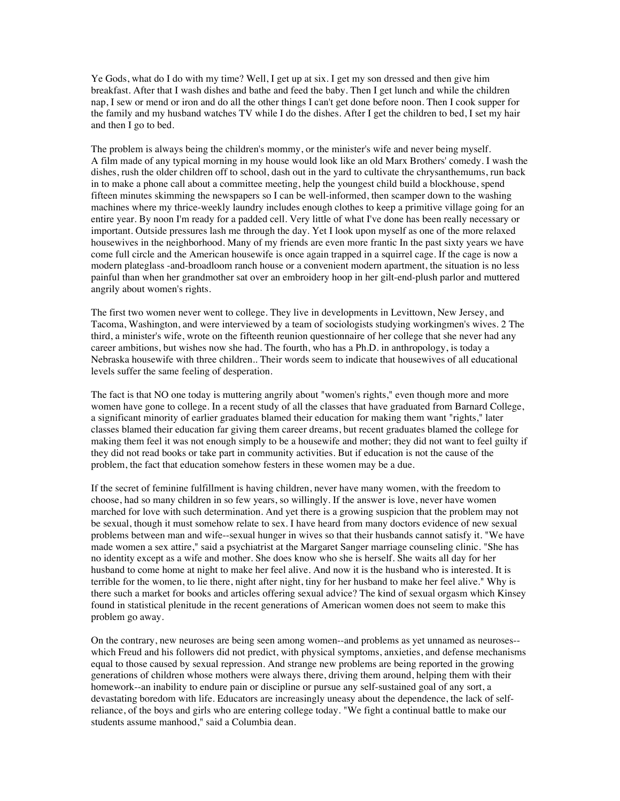Ye Gods, what do I do with my time? Well, I get up at six. I get my son dressed and then give him breakfast. After that I wash dishes and bathe and feed the baby. Then I get lunch and while the children nap, I sew or mend or iron and do all the other things I can't get done before noon. Then I cook supper for the family and my husband watches TV while I do the dishes. After I get the children to bed, I set my hair and then I go to bed.

The problem is always being the children's mommy, or the minister's wife and never being myself. A film made of any typical morning in my house would look like an old Marx Brothers' comedy. I wash the dishes, rush the older children off to school, dash out in the yard to cultivate the chrysanthemums, run back in to make a phone call about a committee meeting, help the youngest child build a blockhouse, spend fifteen minutes skimming the newspapers so I can be well-informed, then scamper down to the washing machines where my thrice-weekly laundry includes enough clothes to keep a primitive village going for an entire year. By noon I'm ready for a padded cell. Very little of what I've done has been really necessary or important. Outside pressures lash me through the day. Yet I look upon myself as one of the more relaxed housewives in the neighborhood. Many of my friends are even more frantic In the past sixty years we have come full circle and the American housewife is once again trapped in a squirrel cage. If the cage is now a modern plateglass -and-broadloom ranch house or a convenient modern apartment, the situation is no less painful than when her grandmother sat over an embroidery hoop in her gilt-end-plush parlor and muttered angrily about women's rights.

The first two women never went to college. They live in developments in Levittown, New Jersey, and Tacoma, Washington, and were interviewed by a team of sociologists studying workingmen's wives. 2 The third, a minister's wife, wrote on the fifteenth reunion questionnaire of her college that she never had any career ambitions, but wishes now she had. The fourth, who has a Ph.D. in anthropology, is today a Nebraska housewife with three children.. Their words seem to indicate that housewives of all educational levels suffer the same feeling of desperation.

The fact is that NO one today is muttering angrily about "women's rights," even though more and more women have gone to college. In a recent study of all the classes that have graduated from Barnard College, a significant minority of earlier graduates blamed their education for making them want "rights," later classes blamed their education far giving them career dreams, but recent graduates blamed the college for making them feel it was not enough simply to be a housewife and mother; they did not want to feel guilty if they did not read books or take part in community activities. But if education is not the cause of the problem, the fact that education somehow festers in these women may be a due.

If the secret of feminine fulfillment is having children, never have many women, with the freedom to choose, had so many children in so few years, so willingly. If the answer is love, never have women marched for love with such determination. And yet there is a growing suspicion that the problem may not be sexual, though it must somehow relate to sex. I have heard from many doctors evidence of new sexual problems between man and wife--sexual hunger in wives so that their husbands cannot satisfy it. "We have made women a sex attire," said a psychiatrist at the Margaret Sanger marriage counseling clinic. "She has no identity except as a wife and mother. She does know who she is herself. She waits all day for her husband to come home at night to make her feel alive. And now it is the husband who is interested. It is terrible for the women, to lie there, night after night, tiny for her husband to make her feel alive." Why is there such a market for books and articles offering sexual advice? The kind of sexual orgasm which Kinsey found in statistical plenitude in the recent generations of American women does not seem to make this problem go away.

On the contrary, new neuroses are being seen among women--and problems as yet unnamed as neuroses- which Freud and his followers did not predict, with physical symptoms, anxieties, and defense mechanisms equal to those caused by sexual repression. And strange new problems are being reported in the growing generations of children whose mothers were always there, driving them around, helping them with their homework--an inability to endure pain or discipline or pursue any self-sustained goal of any sort, a devastating boredom with life. Educators are increasingly uneasy about the dependence, the lack of selfreliance, of the boys and girls who are entering college today. "We fight a continual battle to make our students assume manhood," said a Columbia dean.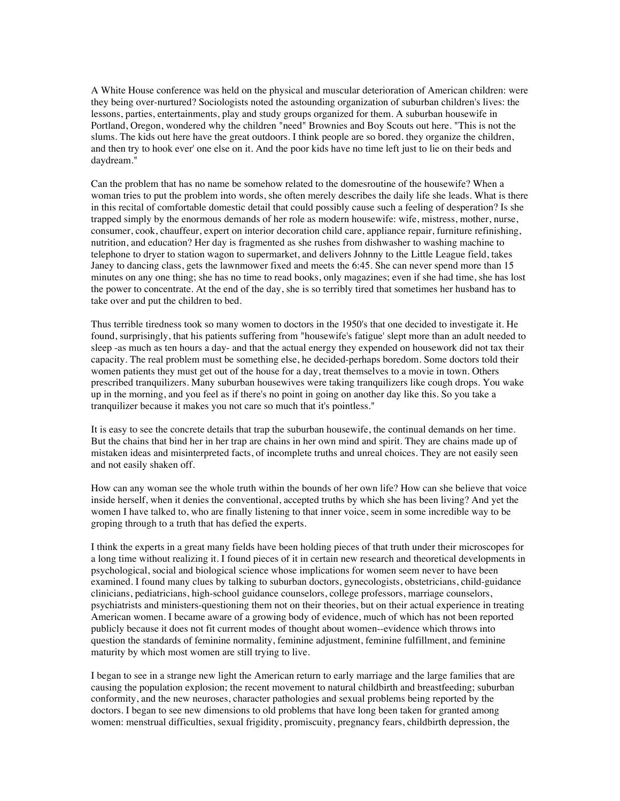A White House conference was held on the physical and muscular deterioration of American children: were they being over-nurtured? Sociologists noted the astounding organization of suburban children's lives: the lessons, parties, entertainments, play and study groups organized for them. A suburban housewife in Portland, Oregon, wondered why the children "need" Brownies and Boy Scouts out here. "This is not the slums. The kids out here have the great outdoors. I think people are so bored. they organize the children, and then try to hook ever' one else on it. And the poor kids have no time left just to lie on their beds and daydream."

Can the problem that has no name be somehow related to the domesroutine of the housewife? When a woman tries to put the problem into words, she often merely describes the daily life she leads. What is there in this recital of comfortable domestic detail that could possibly cause such a feeling of desperation? Is she trapped simply by the enormous demands of her role as modern housewife: wife, mistress, mother, nurse, consumer, cook, chauffeur, expert on interior decoration child care, appliance repair, furniture refinishing, nutrition, and education? Her day is fragmented as she rushes from dishwasher to washing machine to telephone to dryer to station wagon to supermarket, and delivers Johnny to the Little League field, takes Janey to dancing class, gets the lawnmower fixed and meets the 6:45. She can never spend more than 15 minutes on any one thing; she has no time to read books, only magazines; even if she had time, she has lost the power to concentrate. At the end of the day, she is so terribly tired that sometimes her husband has to take over and put the children to bed.

Thus terrible tiredness took so many women to doctors in the 1950's that one decided to investigate it. He found, surprisingly, that his patients suffering from "housewife's fatigue' slept more than an adult needed to sleep -as much as ten hours a day- and that the actual energy they expended on housework did not tax their capacity. The real problem must be something else, he decided-perhaps boredom. Some doctors told their women patients they must get out of the house for a day, treat themselves to a movie in town. Others prescribed tranquilizers. Many suburban housewives were taking tranquilizers like cough drops. You wake up in the morning, and you feel as if there's no point in going on another day like this. So you take a tranquilizer because it makes you not care so much that it's pointless."

It is easy to see the concrete details that trap the suburban housewife, the continual demands on her time. But the chains that bind her in her trap are chains in her own mind and spirit. They are chains made up of mistaken ideas and misinterpreted facts, of incomplete truths and unreal choices. They are not easily seen and not easily shaken off.

How can any woman see the whole truth within the bounds of her own life? How can she believe that voice inside herself, when it denies the conventional, accepted truths by which she has been living? And yet the women I have talked to, who are finally listening to that inner voice, seem in some incredible way to be groping through to a truth that has defied the experts.

I think the experts in a great many fields have been holding pieces of that truth under their microscopes for a long time without realizing it. I found pieces of it in certain new research and theoretical developments in psychological, social and biological science whose implications for women seem never to have been examined. I found many clues by talking to suburban doctors, gynecologists, obstetricians, child-guidance clinicians, pediatricians, high-school guidance counselors, college professors, marriage counselors, psychiatrists and ministers-questioning them not on their theories, but on their actual experience in treating American women. I became aware of a growing body of evidence, much of which has not been reported publicly because it does not fit current modes of thought about women--evidence which throws into question the standards of feminine normality, feminine adjustment, feminine fulfillment, and feminine maturity by which most women are still trying to live.

I began to see in a strange new light the American return to early marriage and the large families that are causing the population explosion; the recent movement to natural childbirth and breastfeeding; suburban conformity, and the new neuroses, character pathologies and sexual problems being reported by the doctors. I began to see new dimensions to old problems that have long been taken for granted among women: menstrual difficulties, sexual frigidity, promiscuity, pregnancy fears, childbirth depression, the